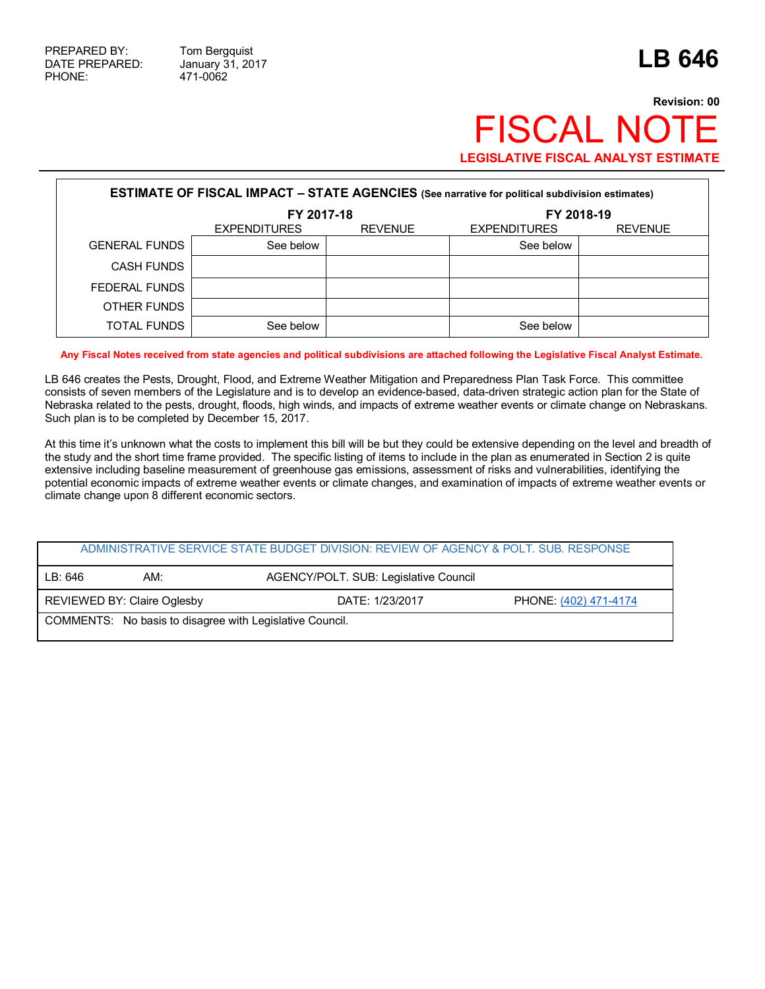## **Revision: 00 FISCAL NOT LEGISLATIVE FISCAL ANALYST ESTIMATE**

| <b>ESTIMATE OF FISCAL IMPACT - STATE AGENCIES</b> (See narrative for political subdivision estimates) |                     |                |                     |                |  |  |
|-------------------------------------------------------------------------------------------------------|---------------------|----------------|---------------------|----------------|--|--|
|                                                                                                       | FY 2017-18          |                | FY 2018-19          |                |  |  |
|                                                                                                       | <b>EXPENDITURES</b> | <b>REVENUE</b> | <b>EXPENDITURES</b> | <b>REVENUE</b> |  |  |
| <b>GENERAL FUNDS</b>                                                                                  | See below           |                | See below           |                |  |  |
| <b>CASH FUNDS</b>                                                                                     |                     |                |                     |                |  |  |
| FEDERAL FUNDS                                                                                         |                     |                |                     |                |  |  |
| OTHER FUNDS                                                                                           |                     |                |                     |                |  |  |
| <b>TOTAL FUNDS</b>                                                                                    | See below           |                | See below           |                |  |  |

**Any Fiscal Notes received from state agencies and political subdivisions are attached following the Legislative Fiscal Analyst Estimate.**

LB 646 creates the Pests, Drought, Flood, and Extreme Weather Mitigation and Preparedness Plan Task Force. This committee consists of seven members of the Legislature and is to develop an evidence-based, data-driven strategic action plan for the State of Nebraska related to the pests, drought, floods, high winds, and impacts of extreme weather events or climate change on Nebraskans. Such plan is to be completed by December 15, 2017.

At this time it's unknown what the costs to implement this bill will be but they could be extensive depending on the level and breadth of the study and the short time frame provided. The specific listing of items to include in the plan as enumerated in Section 2 is quite extensive including baseline measurement of greenhouse gas emissions, assessment of risks and vulnerabilities, identifying the potential economic impacts of extreme weather events or climate changes, and examination of impacts of extreme weather events or climate change upon 8 different economic sectors.

|                                                          |                             | ADMINISTRATIVE SERVICE STATE BUDGET DIVISION: REVIEW OF AGENCY & POLT. SUB. RESPONSE |                       |  |
|----------------------------------------------------------|-----------------------------|--------------------------------------------------------------------------------------|-----------------------|--|
| LB: 646                                                  | AM:                         | AGENCY/POLT. SUB: Legislative Council                                                |                       |  |
|                                                          | REVIEWED BY: Claire Oglesby | DATE: 1/23/2017                                                                      | PHONE: (402) 471-4174 |  |
| COMMENTS: No basis to disagree with Legislative Council. |                             |                                                                                      |                       |  |